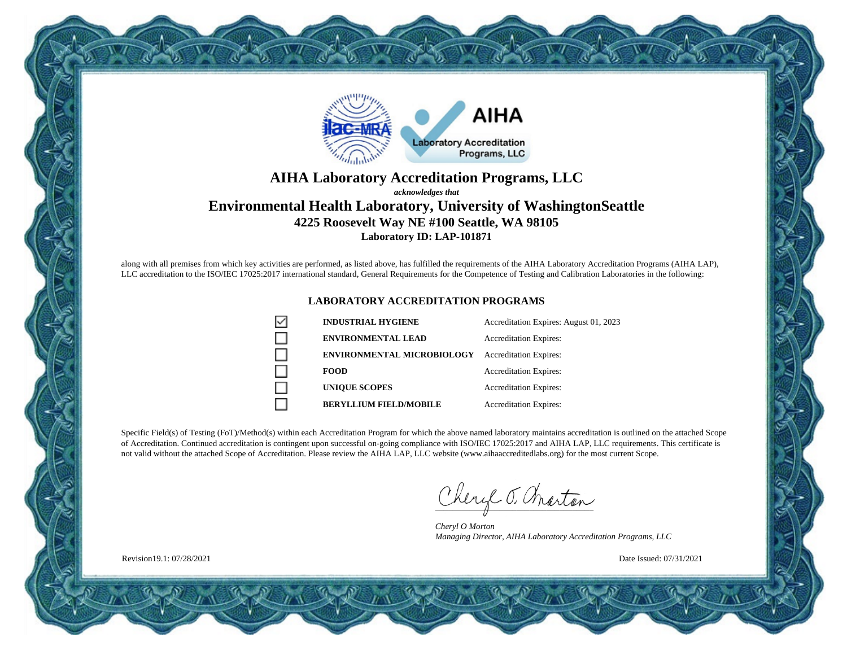

### **AIHA Laboratory Accreditation Programs, LLC** *acknowledges that* **Environmental Health Laboratory, University of WashingtonSeattle 4225 Roosevelt Way NE #100 Seattle, WA 98105 Laboratory ID: LAP-101871**

along with all premises from which key activities are performed, as listed above, has fulfilled the requirements of the AIHA Laboratory Accreditation Programs (AIHA LAP), LLC accreditation to the ISO/IEC 17025:2017 international standard, General Requirements for the Competence of Testing and Calibration Laboratories in the following:

#### **LABORATORY ACCREDITATION PROGRAMS**

| <b>INDUSTRIAL HYGIENE</b>         | Accreditation Expires: August 01, 2023 |
|-----------------------------------|----------------------------------------|
| <b>ENVIRONMENTAL LEAD</b>         | <b>Accreditation Expires:</b>          |
| <b>ENVIRONMENTAL MICROBIOLOGY</b> | <b>Accreditation Expires:</b>          |
| <b>FOOD</b>                       | <b>Accreditation Expires:</b>          |
| <b>UNIOUE SCOPES</b>              | <b>Accreditation Expires:</b>          |
| <b>BERYLLIUM FIELD/MOBILE</b>     | <b>Accreditation Expires:</b>          |

Specific Field(s) of Testing (FoT)/Method(s) within each Accreditation Program for which the above named laboratory maintains accreditation is outlined on the attached Scope of Accreditation. Continued accreditation is contingent upon successful on-going compliance with ISO/IEC 17025:2017 and AIHA LAP, LLC requirements. This certificate is not valid without the attached Scope of Accreditation. Please review the AIHA LAP, LLC website (www.aihaaccreditedlabs.org) for the most current Scope.

Cheryl J. Charton

*Cheryl O Morton Managing Director, AIHA Laboratory Accreditation Programs, LLC*

Date Issued: 07/31/2021

Revision19.1: 07/28/2021